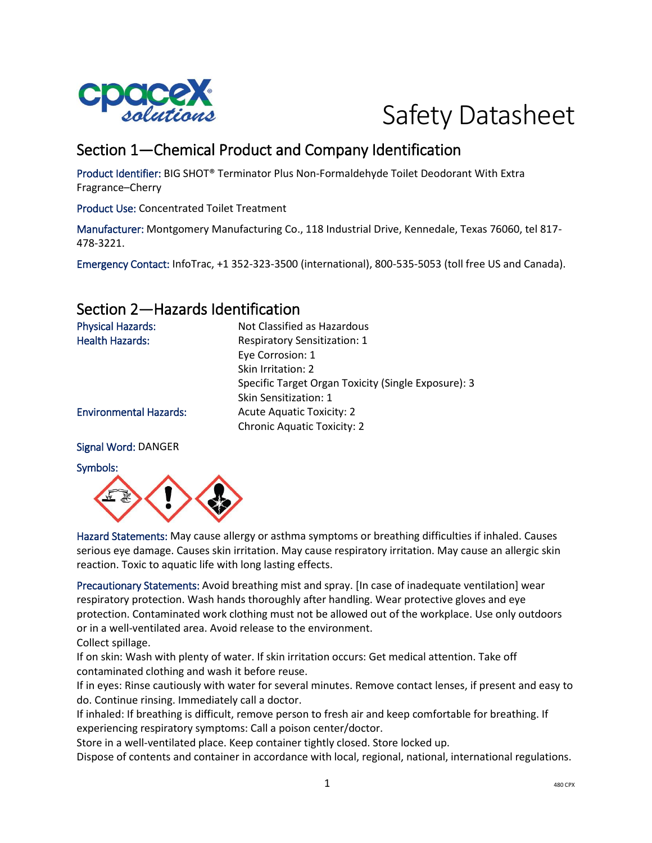



# Section 1—Chemical Product and Company Identification

Product Identifier: BIG SHOT® Terminator Plus Non-Formaldehyde Toilet Deodorant With Extra Fragrance–Cherry

Product Use: Concentrated Toilet Treatment

Manufacturer: Montgomery Manufacturing Co., 118 Industrial Drive, Kennedale, Texas 76060, tel 817- 478-3221.

Emergency Contact: InfoTrac, +1 352-323-3500 (international), 800-535-5053 (toll free US and Canada).

## Section 2—Hazards Identification

| <b>Physical Hazards:</b>      | Not Classified as Hazardous                         |
|-------------------------------|-----------------------------------------------------|
| <b>Health Hazards:</b>        | <b>Respiratory Sensitization: 1</b>                 |
|                               | Eye Corrosion: 1                                    |
|                               | Skin Irritation: 2                                  |
|                               | Specific Target Organ Toxicity (Single Exposure): 3 |
|                               | Skin Sensitization: 1                               |
| <b>Environmental Hazards:</b> | <b>Acute Aquatic Toxicity: 2</b>                    |
|                               | <b>Chronic Aquatic Toxicity: 2</b>                  |
|                               |                                                     |

#### Signal Word: DANGER

#### Symbols:



Hazard Statements: May cause allergy or asthma symptoms or breathing difficulties if inhaled. Causes serious eye damage. Causes skin irritation. May cause respiratory irritation. May cause an allergic skin reaction. Toxic to aquatic life with long lasting effects.

Precautionary Statements: Avoid breathing mist and spray. [In case of inadequate ventilation] wear respiratory protection. Wash hands thoroughly after handling. Wear protective gloves and eye protection. Contaminated work clothing must not be allowed out of the workplace. Use only outdoors or in a well-ventilated area. Avoid release to the environment.

Collect spillage.

If on skin: Wash with plenty of water. If skin irritation occurs: Get medical attention. Take off contaminated clothing and wash it before reuse.

If in eyes: Rinse cautiously with water for several minutes. Remove contact lenses, if present and easy to do. Continue rinsing. Immediately call a doctor.

If inhaled: If breathing is difficult, remove person to fresh air and keep comfortable for breathing. If experiencing respiratory symptoms: Call a poison center/doctor.

Store in a well-ventilated place. Keep container tightly closed. Store locked up.

Dispose of contents and container in accordance with local, regional, national, international regulations.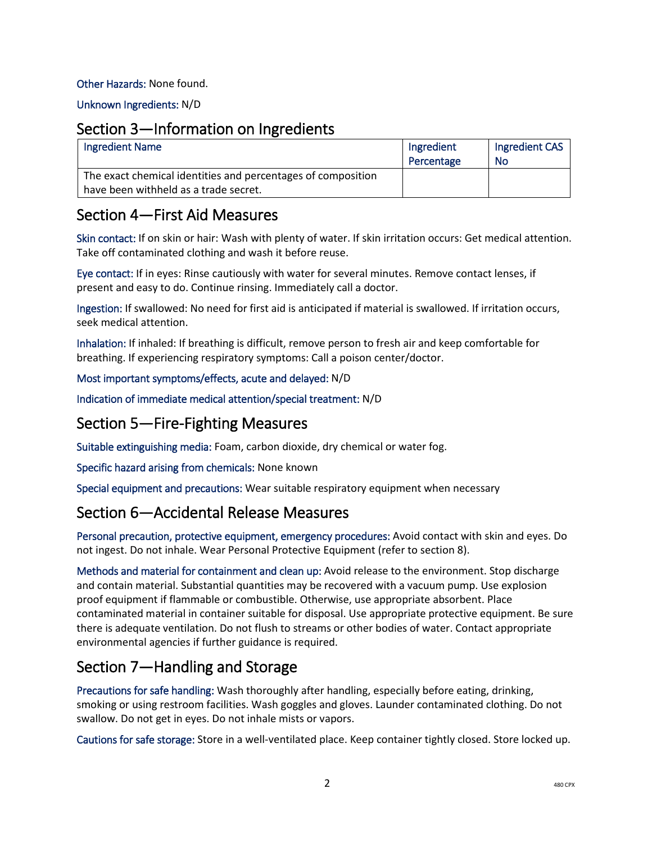#### Other Hazards: None found.

Unknown Ingredients: N/D

### Section 3—Information on Ingredients

| <b>Ingredient Name</b>                                                                                | Ingredient<br>Percentage | Ingredient CAS<br><b>No</b> |
|-------------------------------------------------------------------------------------------------------|--------------------------|-----------------------------|
| The exact chemical identities and percentages of composition<br>have been withheld as a trade secret. |                          |                             |

### Section 4—First Aid Measures

Skin contact: If on skin or hair: Wash with plenty of water. If skin irritation occurs: Get medical attention. Take off contaminated clothing and wash it before reuse.

Eye contact: If in eyes: Rinse cautiously with water for several minutes. Remove contact lenses, if present and easy to do. Continue rinsing. Immediately call a doctor.

Ingestion: If swallowed: No need for first aid is anticipated if material is swallowed. If irritation occurs, seek medical attention.

Inhalation: If inhaled: If breathing is difficult, remove person to fresh air and keep comfortable for breathing. If experiencing respiratory symptoms: Call a poison center/doctor.

#### Most important symptoms/effects, acute and delayed: N/D

Indication of immediate medical attention/special treatment: N/D

## Section 5—Fire-Fighting Measures

Suitable extinguishing media: Foam, carbon dioxide, dry chemical or water fog.

Specific hazard arising from chemicals: None known

Special equipment and precautions: Wear suitable respiratory equipment when necessary

### Section 6—Accidental Release Measures

Personal precaution, protective equipment, emergency procedures: Avoid contact with skin and eyes. Do not ingest. Do not inhale. Wear Personal Protective Equipment (refer to section 8).

Methods and material for containment and clean up: Avoid release to the environment. Stop discharge and contain material. Substantial quantities may be recovered with a vacuum pump. Use explosion proof equipment if flammable or combustible. Otherwise, use appropriate absorbent. Place contaminated material in container suitable for disposal. Use appropriate protective equipment. Be sure there is adequate ventilation. Do not flush to streams or other bodies of water. Contact appropriate environmental agencies if further guidance is required.

# Section 7—Handling and Storage

Precautions for safe handling: Wash thoroughly after handling, especially before eating, drinking, smoking or using restroom facilities. Wash goggles and gloves. Launder contaminated clothing. Do not swallow. Do not get in eyes. Do not inhale mists or vapors.

Cautions for safe storage: Store in a well-ventilated place. Keep container tightly closed. Store locked up.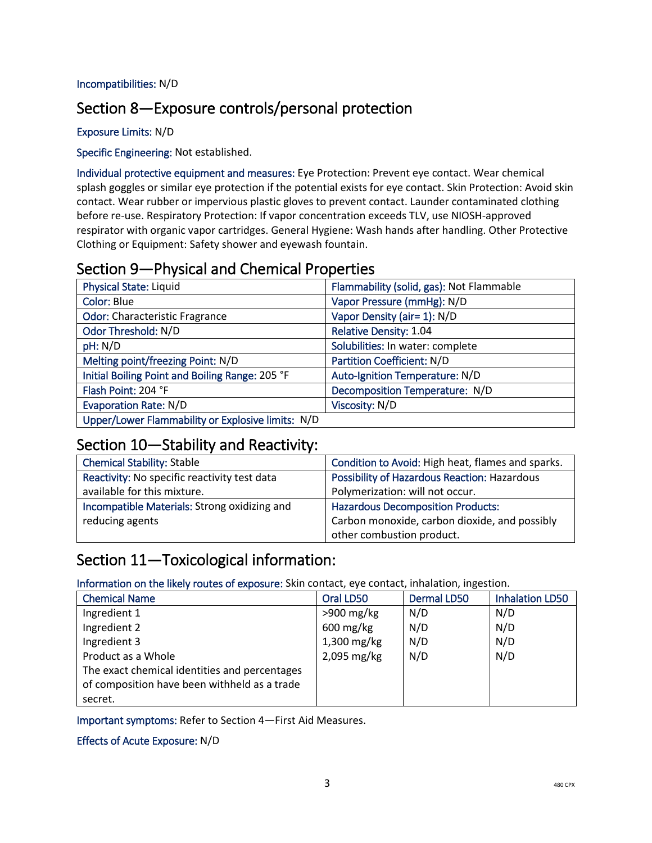#### Incompatibilities: N/D

## Section 8—Exposure controls/personal protection

#### Exposure Limits: N/D

### Specific Engineering: Not established.

Individual protective equipment and measures: Eye Protection: Prevent eye contact. Wear chemical splash goggles or similar eye protection if the potential exists for eye contact. Skin Protection: Avoid skin contact. Wear rubber or impervious plastic gloves to prevent contact. Launder contaminated clothing before re-use. Respiratory Protection: If vapor concentration exceeds TLV, use NIOSH-approved respirator with organic vapor cartridges. General Hygiene: Wash hands after handling. Other Protective Clothing or Equipment: Safety shower and eyewash fountain.

### Section 9—Physical and Chemical Properties

| <b>Physical State: Liquid</b>                     | Flammability (solid, gas): Not Flammable |
|---------------------------------------------------|------------------------------------------|
| Color: Blue                                       | Vapor Pressure (mmHg): N/D               |
| <b>Odor: Characteristic Fragrance</b>             | Vapor Density (air= 1): N/D              |
| Odor Threshold: N/D                               | <b>Relative Density: 1.04</b>            |
| pH: N/D                                           | Solubilities: In water: complete         |
| Melting point/freezing Point: N/D                 | <b>Partition Coefficient: N/D</b>        |
| Initial Boiling Point and Boiling Range: 205 °F   | Auto-Ignition Temperature: N/D           |
| Flash Point: 204 °F                               | Decomposition Temperature: N/D           |
| <b>Evaporation Rate: N/D</b>                      | Viscosity: N/D                           |
| Upper/Lower Flammability or Explosive limits: N/D |                                          |

### Section 10—Stability and Reactivity:

| <b>Chemical Stability: Stable</b>            | Condition to Avoid: High heat, flames and sparks.   |
|----------------------------------------------|-----------------------------------------------------|
| Reactivity: No specific reactivity test data | <b>Possibility of Hazardous Reaction: Hazardous</b> |
| available for this mixture.                  | Polymerization: will not occur.                     |
| Incompatible Materials: Strong oxidizing and | <b>Hazardous Decomposition Products:</b>            |
| reducing agents                              | Carbon monoxide, carbon dioxide, and possibly       |
|                                              | other combustion product.                           |

### Section 11—Toxicological information:

Information on the likely routes of exposure: Skin contact, eye contact, inhalation, ingestion.

| <b>Chemical Name</b>                          | Oral LD50              | <b>Dermal LD50</b> | <b>Inhalation LD50</b> |
|-----------------------------------------------|------------------------|--------------------|------------------------|
| Ingredient 1                                  | $>900$ mg/kg           | N/D                | N/D                    |
| Ingredient 2                                  | $600 \,\mathrm{mg/kg}$ | N/D                | N/D                    |
| Ingredient 3                                  | 1,300 mg/kg            | N/D                | N/D                    |
| Product as a Whole                            | 2,095 mg/kg            | N/D                | N/D                    |
| The exact chemical identities and percentages |                        |                    |                        |
| of composition have been withheld as a trade  |                        |                    |                        |
| secret.                                       |                        |                    |                        |

Important symptoms: Refer to Section 4—First Aid Measures.

#### Effects of Acute Exposure: N/D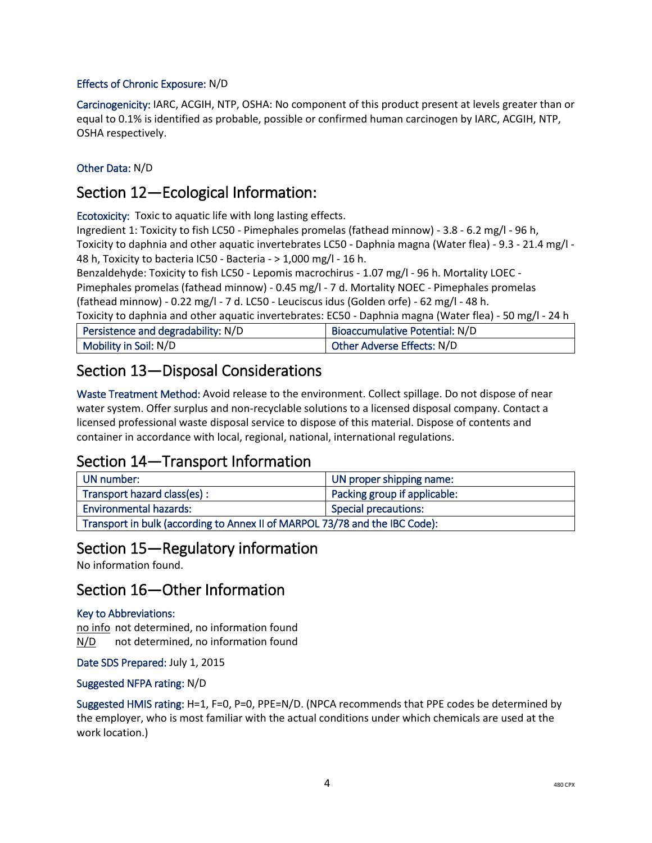#### Effects of Chronic Exposure: N/D

Carcinogenicity: IARC, ACGIH, NTP, OSHA: No component of this product present at levels greater than or equal to 0.1% is identified as probable, possible or confirmed human carcinogen by IARC, ACGIH, NTP, OSHA respectively.

### Other Data: N/D

## Section 12—Ecological Information:

Ecotoxicity: Toxic to aquatic life with long lasting effects.

Ingredient 1: Toxicity to fish LC50 - Pimephales promelas (fathead minnow) - 3.8 - 6.2 mg/l - 96 h, Toxicity to daphnia and other aquatic invertebrates LC50 - Daphnia magna (Water flea) - 9.3 - 21.4 mg/l - 48 h, Toxicity to bacteria IC50 - Bacteria - > 1,000 mg/l - 16 h.

Benzaldehyde: Toxicity to fish LC50 - Lepomis macrochirus - 1.07 mg/l - 96 h. Mortality LOEC -

Pimephales promelas (fathead minnow) - 0.45 mg/l - 7 d. Mortality NOEC - Pimephales promelas (fathead minnow) - 0.22 mg/l - 7 d. LC50 - Leuciscus idus (Golden orfe) - 62 mg/l - 48 h.

Toxicity to daphnia and other aquatic invertebrates: EC50 - Daphnia magna (Water flea) - 50 mg/l - 24 h

| Persistence and degradability: N/D | Bioaccumulative Potential: N/D |
|------------------------------------|--------------------------------|
| Mobility in Soil: N/D              | Other Adverse Effects: N/D     |

### Section 13—Disposal Considerations

Waste Treatment Method: Avoid release to the environment. Collect spillage. Do not dispose of near water system. Offer surplus and non-recyclable solutions to a licensed disposal company. Contact a licensed professional waste disposal service to dispose of this material. Dispose of contents and container in accordance with local, regional, national, international regulations.

### Section 14—Transport Information

| UN number:                                                                  | UN proper shipping name:     |  |
|-----------------------------------------------------------------------------|------------------------------|--|
| Transport hazard class(es):                                                 | Packing group if applicable: |  |
| <b>Environmental hazards:</b><br><b>Special precautions:</b>                |                              |  |
| Transport in bulk (according to Annex II of MARPOL 73/78 and the IBC Code): |                              |  |

### Section 15—Regulatory information

No information found.

### Section 16—Other Information

#### Key to Abbreviations:

no info not determined, no information found N/D not determined, no information found

Date SDS Prepared: July 1, 2015

#### Suggested NFPA rating: N/D

Suggested HMIS rating: H=1, F=0, P=0, PPE=N/D. (NPCA recommends that PPE codes be determined by the employer, who is most familiar with the actual conditions under which chemicals are used at the work location.)